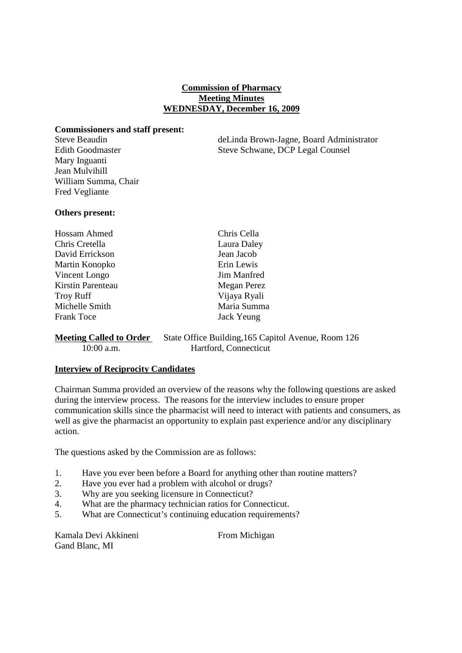# **Commission of Pharmacy Meeting Minutes WEDNESDAY, December 16, 2009**

### **Commissioners and staff present:**

Mary Inguanti Jean Mulvihill William Summa, Chair Fred Vegliante

Steve Beaudin deLinda Brown-Jagne, Board Administrator Edith Goodmaster Steve Schwane, DCP Legal Counsel

## **Others present:**

| Hossam Ahmed      | Chris Cella  |
|-------------------|--------------|
| Chris Cretella    | Laura Daley  |
| David Errickson   | Jean Jacob   |
| Martin Konopko    | Erin Lewis   |
| Vincent Longo     | Jim Manfred  |
| Kirstin Parenteau | Megan Perez  |
| <b>Troy Ruff</b>  | Vijaya Ryali |
| Michelle Smith    | Maria Summa  |
| <b>Frank Toce</b> | Jack Yeung   |
|                   |              |

## **Meeting Called to Order** State Office Building, 165 Capitol Avenue, Room 126 10:00 a.m. Hartford, Connecticut

## **Interview of Reciprocity Candidates**

Chairman Summa provided an overview of the reasons why the following questions are asked during the interview process. The reasons for the interview includes to ensure proper communication skills since the pharmacist will need to interact with patients and consumers, as well as give the pharmacist an opportunity to explain past experience and/or any disciplinary action.

The questions asked by the Commission are as follows:

- 1. Have you ever been before a Board for anything other than routine matters?
- 2. Have you ever had a problem with alcohol or drugs?
- 3. Why are you seeking licensure in Connecticut?
- 4. What are the pharmacy technician ratios for Connecticut.
- 5. What are Connecticut's continuing education requirements?

Kamala Devi Akkineni From Michigan Gand Blanc, MI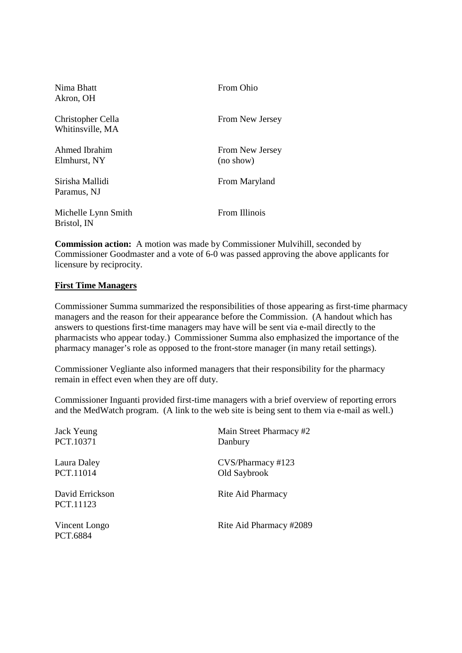| Nima Bhatt<br>Akron, OH               | From Ohio                    |
|---------------------------------------|------------------------------|
| Christopher Cella<br>Whitinsville, MA | From New Jersey              |
| Ahmed Ibrahim<br>Elmhurst, NY         | From New Jersey<br>(no show) |
| Sirisha Mallidi<br>Paramus, NJ        | From Maryland                |
| Michelle Lynn Smith<br>Bristol, IN    | From Illinois                |

**Commission action:** A motion was made by Commissioner Mulvihill, seconded by Commissioner Goodmaster and a vote of 6-0 was passed approving the above applicants for licensure by reciprocity.

### **First Time Managers**

Commissioner Summa summarized the responsibilities of those appearing as first-time pharmacy managers and the reason for their appearance before the Commission. (A handout which has answers to questions first-time managers may have will be sent via e-mail directly to the pharmacists who appear today.) Commissioner Summa also emphasized the importance of the pharmacy manager's role as opposed to the front-store manager (in many retail settings).

Commissioner Vegliante also informed managers that their responsibility for the pharmacy remain in effect even when they are off duty.

Commissioner Inguanti provided first-time managers with a brief overview of reporting errors and the MedWatch program. (A link to the web site is being sent to them via e-mail as well.)

| Jack Yeung                   | Main Street Pharmacy #2 |
|------------------------------|-------------------------|
| PCT.10371                    | Danbury                 |
| Laura Daley                  | CVS/Pharmacy #123       |
| PCT.11014                    | Old Saybrook            |
| David Errickson<br>PCT.11123 | Rite Aid Pharmacy       |
| Vincent Longo<br>PCT.6884    | Rite Aid Pharmacy #2089 |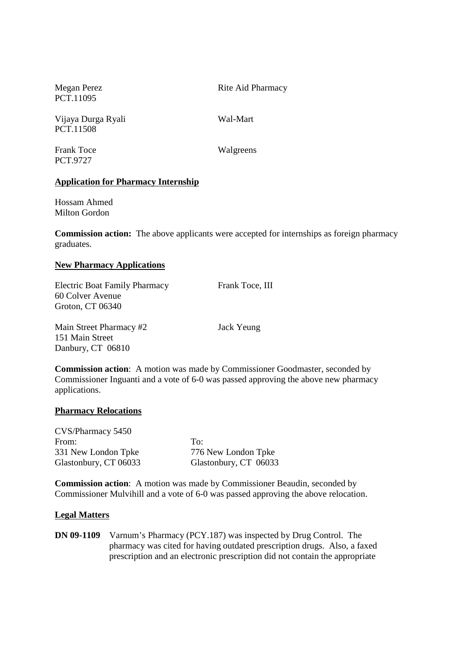PCT.11095

Megan Perez Rite Aid Pharmacy

Vijaya Durga Ryali Wal-Mart PCT.11508

Frank Toce Walgreens PCT.9727

# **Application for Pharmacy Internship**

Hossam Ahmed Milton Gordon

**Commission action:** The above applicants were accepted for internships as foreign pharmacy graduates.

## **New Pharmacy Applications**

Electric Boat Family Pharmacy Frank Toce, III 60 Colver Avenue Groton, CT 06340

Main Street Pharmacy #2 Jack Yeung 151 Main Street Danbury, CT 06810

**Commission action**: A motion was made by Commissioner Goodmaster, seconded by Commissioner Inguanti and a vote of 6-0 was passed approving the above new pharmacy applications.

#### **Pharmacy Relocations**

CVS/Pharmacy 5450 From: To: 331 New London Tpke 776 New London Tpke Glastonbury, CT 06033 Glastonbury, CT 06033

**Commission action**: A motion was made by Commissioner Beaudin, seconded by Commissioner Mulvihill and a vote of 6-0 was passed approving the above relocation.

## **Legal Matters**

**DN 09-1109** Varnum's Pharmacy (PCY.187) was inspected by Drug Control. The pharmacy was cited for having outdated prescription drugs. Also, a faxed prescription and an electronic prescription did not contain the appropriate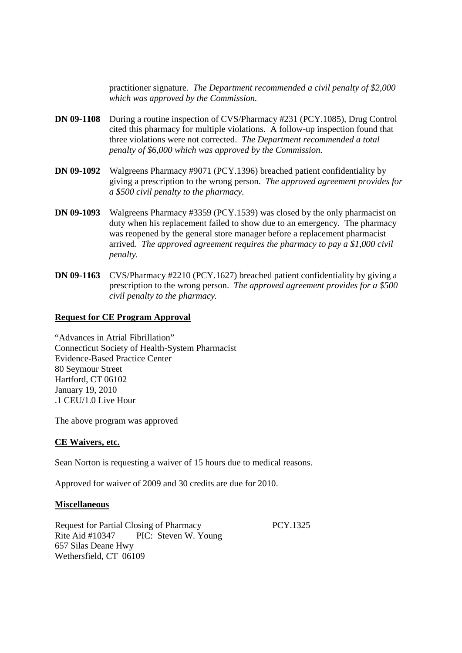practitioner signature. *The Department recommended a civil penalty of \$2,000 which was approved by the Commission.*

- **DN 09-1108** During a routine inspection of CVS/Pharmacy #231 (PCY.1085), Drug Control cited this pharmacy for multiple violations. A follow-up inspection found that three violations were not corrected. *The Department recommended a total penalty of \$6,000 which was approved by the Commission.*
- **DN 09-1092** Walgreens Pharmacy #9071 (PCY.1396) breached patient confidentiality by giving a prescription to the wrong person. *The approved agreement provides for a \$500 civil penalty to the pharmacy.*
- **DN 09-1093** Walgreens Pharmacy #3359 (PCY.1539) was closed by the only pharmacist on duty when his replacement failed to show due to an emergency. The pharmacy was reopened by the general store manager before a replacement pharmacist arrived. *The approved agreement requires the pharmacy to pay a \$1,000 civil penalty.*
- **DN 09-1163** CVS/Pharmacy #2210 (PCY.1627) breached patient confidentiality by giving a prescription to the wrong person. *The approved agreement provides for a \$500 civil penalty to the pharmacy.*

### **Request for CE Program Approval**

"Advances in Atrial Fibrillation" Connecticut Society of Health-System Pharmacist Evidence-Based Practice Center 80 Seymour Street Hartford, CT 06102 January 19, 2010 .1 CEU/1.0 Live Hour

The above program was approved

#### **CE Waivers, etc.**

Sean Norton is requesting a waiver of 15 hours due to medical reasons.

Approved for waiver of 2009 and 30 credits are due for 2010.

#### **Miscellaneous**

Request for Partial Closing of Pharmacy PCY.1325 Rite Aid #10347 PIC: Steven W. Young 657 Silas Deane Hwy Wethersfield, CT 06109